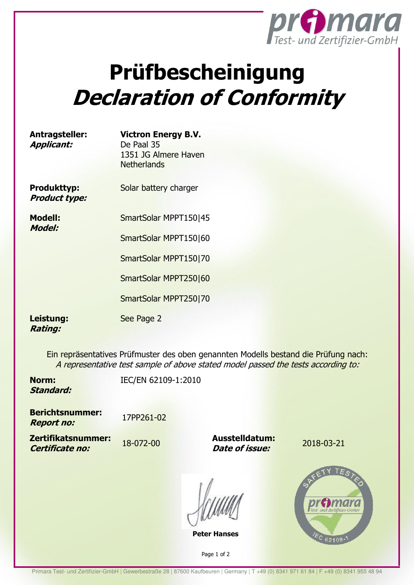

## **Prüfbescheinigung Declaration of Conformity**

| Antragsteller:    | <b>Victron Energy B.V.</b> |  |
|-------------------|----------------------------|--|
| <b>Applicant:</b> | De Paal 35                 |  |
|                   | 1351 JG Almere Haven       |  |
|                   | <b>Netherlands</b>         |  |

**Produkttyp: Product type:** 

**Modell: Model:** 

SmartSolar MPPT150|45

Solar battery charger

SmartSolar MPPT150|60

SmartSolar MPPT150|70

SmartSolar MPPT250|60

SmartSolar MPPT250|70

See Page 2

## **Leistung: Rating:**

Ein repräsentatives Prüfmuster des oben genannten Modells bestand die Prüfung nach: A representative test sample of above stated model passed the tests according to:

**Norm: Standard:**  IEC/EN 62109-1:2010

**Berichtsnummer: Report no:**  17PP261-02

**Zertifikatsnummer: Certificate no:** 

18-072-00 **Ausstelldatum: Date of issue:** 

2018-03-21

**Peter Hanses** 

Page 1 of 2